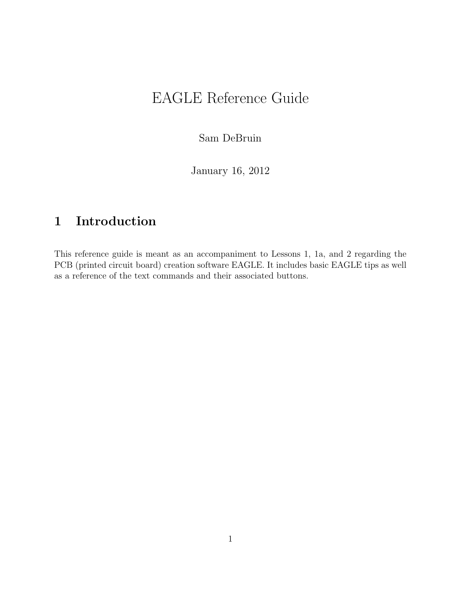## EAGLE Reference Guide

Sam DeBruin

January 16, 2012

## 1 Introduction

This reference guide is meant as an accompaniment to Lessons 1, 1a, and 2 regarding the PCB (printed circuit board) creation software EAGLE. It includes basic EAGLE tips as well as a reference of the text commands and their associated buttons.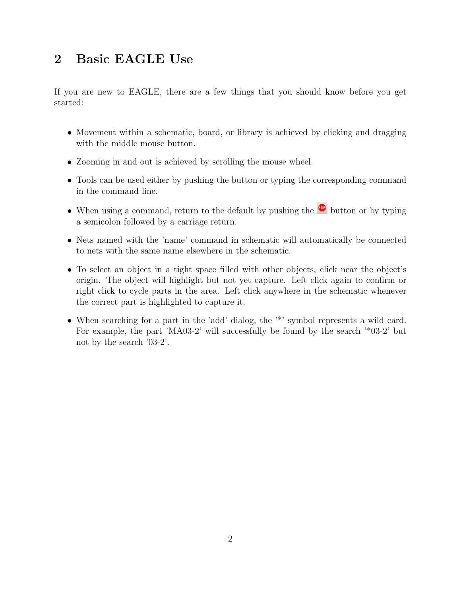## 2 Basic EAGLE Use

If you are new to EAGLE, there are a few things that you should know before you get started:

- Movement within a schematic, board, or library is achieved by clicking and dragging with the middle mouse button.
- Zooming in and out is achieved by scrolling the mouse wheel.
- Tools can be used either by pushing the button or typing the corresponding command in the command line.
- When using a command, return to the default by pushing the  $\blacksquare$  button or by typing a semicolon followed by a carriage return.
- Nets named with the 'name' command in schematic will automatically be connected to nets with the same name elsewhere in the schematic.
- To select an object in a tight space filled with other objects, click near the object's origin. The object will highlight but not yet capture. Left click again to confirm or right click to cycle parts in the area. Left click anywhere in the schematic whenever the correct part is highlighted to capture it.
- When searching for a part in the 'add' dialog, the '\*' symbol represents a wild card. For example, the part 'MA03-2' will successfully be found by the search '\*03-2' but not by the search '03-2'.